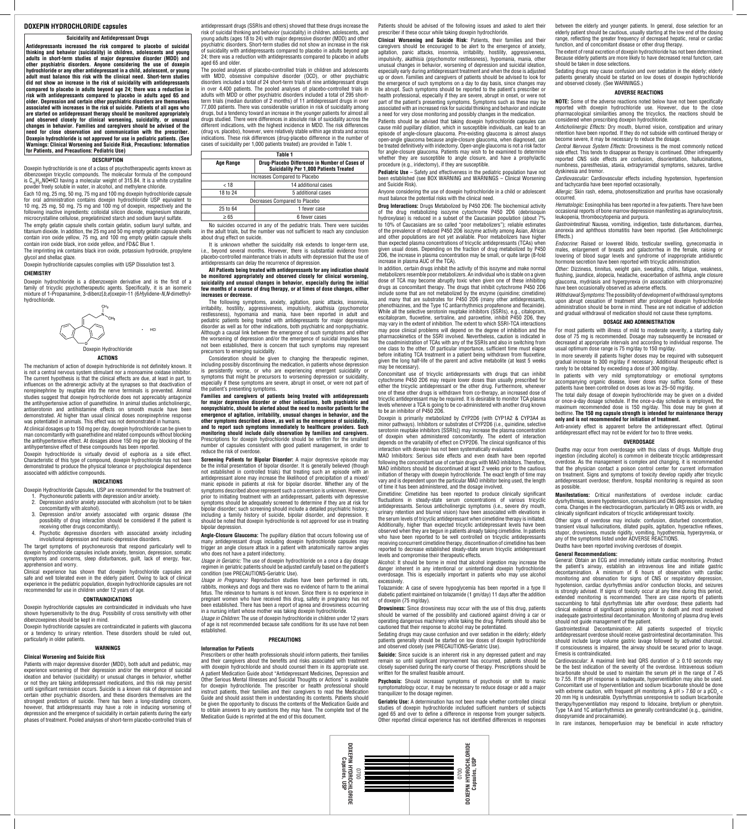## **DOXEPIN HYDROCHLORIDE capsules**

#### **Suicidality and Antidepressant Drugs**

Doxepin hydrochloride is one of a class of psychotherapeutic agents known as dibenzoxepin tricyclic compounds. The molecular formula of the compound is  $C_{10}H_{21}NO\bullet HCl$  having a molecular weight of 315.84. It is a white crystalline powder freely soluble in water, in alcohol, and methylene chloride.

**Antidepressants increased the risk compared to placebo of suicidal thinking and behavior (suicidality) in children, adolescents and young adults in short-term studies of major depressive disorder (MDD) and other psychiatric disorders. Anyone considering the use of doxepin hydrochloride or any other antidepressant in a child, adolescent, or young adult must balance this risk with the clinical need. Short-term studies did not show an increase in the risk of suicidality with antidepressants compared to placebo in adults beyond age 24; there was a reduction in risk with antidepressants compared to placebo in adults aged 65 and older. Depression and certain other psychiatric disorders are themselves associated with increases in the risk of suicide. Patients of all ages who are started on antidepressant therapy should be monitored appropriately and observed closely for clinical worsening, suicidality, or unusual changes in behavior. Families and caregivers should be advised of the need for close observation and communication with the prescriber. Doxepin hydrochloride is not approved for use in pediatric patients. (See Warnings: Clinical Worsening and Suicide Risk, Precautions: Information for Patients, and Precautions: Pediatric Use)**

#### **DESCRIPTION**

Each 10 mg, 25 mg, 50 mg, 75 mg and 100 mg doxepin hydrochloride capsule for oral administration contains doxepin hydrochloride USP equivalent to 10 mg, 25 mg, 50 mg, 75 mg and 100 mg of doxepin, respectively and the following inactive ingredients: colloidal silicon dioxide, magnesium stearate, microcrystalline cellulose, pregelatinized starch and sodium lauryl sulfate.

The empty gelatin capsule shells contain gelatin, sodium lauryl sulfate, and titanium dioxide. In addition, the 25 mg and 50 mg empty gelatin capsule shells contain iron oxide yellow, 75 mg, and 100 mg empty gelatin capsule shells contain iron oxide black, iron oxide yellow, and FD&C Blue 1.

The imprinting ink contains black iron oxide, potassium hydroxide, propylene glycol and shellac glaze.

Doxepin hydrochloride capsules complies with USP Dissolution test 3.

### **CHEMISTRY**

Doxepin hydrochloride capsules are contraindicated in individuals who have hypersensitivity to the drug. Possibility of cross sensitivity with other

Doxepin hydrochloride is a dibenzoxepin derivative and is the first of a family of tricyclic psychotherapeutic agents. Specifically, it is an isomeric mixture of 1-Propanamine, 3-dibenz[*b,e*]oxepin-11 (6*H*)ylidene-*N,N*-dimethylhydrochloride.



#### **ACTIONS**

The mechanism of action of doxepin hydrochloride is not definitely known. It is not a central nervous system stimulant nor a monoamine oxidase inhibitor. The current hypothesis is that the clinical effects are due, at least in part, to influences on the adrenergic activity at the synapses so that deactivation of norepinephrine by reuptake into the nerve terminals is prevented. Animal studies suggest that doxepin hydrochloride does not appreciably antagonize the antihypertensive action of guanethidine. In animal studies anticholinergic, antiserotonin and antihistamine effects on smooth muscle have been demonstrated. At higher than usual clinical doses norepinephrine response was potentiated in animals. This effect was not demonstrated in humans.

At clinical dosages up to 150 mg per day, doxepin hydrochloride can be given to man concomitantly with guanethidine and related compounds without blocking the antihypertensive effect. At dosages above 150 mg per day blocking of the antihypertensive effect of these compounds has been reported.

Doxepin hydrochloride is virtually devoid of euphoria as a side effect. Characteristic of this type of compound, doxepin hydrochloride has not been demonstrated to produce the physical tolerance or psychological dependence associated with addictive compounds.

#### **INDICATIONS**

Doxepin Hydrochloride Capsules, USP are recommended for the treatment of: 1. Psychoneurotic patients with depression and/or anxiety.

- 2. Depression and/or anxiety associated with alcoholism (not to be taken concomitantly with alcohol).
- 3. Depression and/or anxiety associated with organic disease (the possibility of drug interaction should be considered if the patient is receiving other drugs concomitantly).
- 4. Psychotic depressive disorders with associated anxiety including involutional depression and manic-depressive disorders.

The target symptoms of psychoneurosis that respond particularly well to doxepin hydrochloride capsules include anxiety, tension, depression, somatic symptoms and concerns, sleep disturbances, guilt, lack of energy, fear, apprehension and worry.

Clinical experience has shown that doxepin hydrochloride capsules are safe and well tolerated even in the elderly patient. Owing to lack of clinical experience in the pediatric population, doxepin hydrochloride capsules are not recommended for use in children under 12 years of age.

#### **CONTRAINDICATIONS**

dibenzoxepines should be kept in mind.

Doxepin hydrochloride capsules are contraindicated in patients with glaucoma or a tendency to urinary retention. These disorders should be ruled out, particularly in older patients.

# **WARNINGS**

## **Clinical Worsening and Suicide Risk**

**Angle-Closure Glaucoma:** The pupillary dilation that occurs following use of many antidepressant drugs including doxepin hydrochloride capsules may trigger an angle closure attack in a patient with anatomically narrow angles who does not have a patent iridectomy.

Patients with major depressive disorder (MDD), both adult and pediatric, may experience worsening of their depression and/or the emergence of suicidal ideation and behavior (suicidality) or unusual changes in behavior, whether or not they are taking antidepressant medications, and this risk may persist until significant remission occurs. Suicide is a known risk of depression and certain other psychiatric disorders, and these disorders themselves are the strongest predictors of suicide. There has been a long-standing concern, however, that antidepressants may have a role in inducing worsening of depression and the emergence of suicidality in certain patients during the early phases of treatment. Pooled analyses of short-term placebo-controlled trials of

antidepressant drugs (SSRIs and others) showed that these drugs increase the risk of suicidal thinking and behavior (suicidality) in children, adolescents, and young adults (ages 18 to 24) with major depressive disorder (MDD) and other psychiatric disorders. Short-term studies did not show an increase in the risk of suicidality with antidepressants compared to placebo in adults beyond age 24; there was a reduction with antidepressants compared to placebo in adults aged 65 and older.

The pooled analyses of placebo-controlled trials in children and adolescents with MDD, obsessive compulsive disorder (OCD), or other psychiatric disorders included a total of 24 short-term trials of nine antidepressant drugs in over 4,400 patients. The pooled analyses of placebo-controlled trials in adults with MDD or other psychiatric disorders included a total of 295 shortterm trials (median duration of 2 months) of 11 antidepressant drugs in over 77,000 patients. There was considerable variation in risk of suicidality among drugs, but a tendency toward an increase in the younger patients for almost all drugs studied. There were differences in absolute risk of suicidality across the different indications, with the highest incidence in MDD. The risk differences (drug vs. placebo), however, were relatively stable within age strata and across indications. These risk differences (drug-placebo difference in the number of cases of suicidality per 1,000 patients treated) are provided in Table 1.

> **Pediatric Use** – Safety and effectiveness in the pediatric population have not been established (see BOX WARNING and WARNINGS – Clinical Worsening and Suicide Risk).

| Table 1                       |                                                                                                |
|-------------------------------|------------------------------------------------------------------------------------------------|
| Age Range                     | Drug-Placebo Difference in Number of Cases of<br><b>Suicidality Per 1,000 Patients Treated</b> |
| Increases Compared to Placebo |                                                                                                |
| < 18                          | 14 additional cases                                                                            |
| 18 to 24                      | 5 additional cases                                                                             |
| Decreases Compared to Placebo |                                                                                                |
| 25 to 64                      | 1 fewer case                                                                                   |
| $\geq 65$                     | 6 fewer cases                                                                                  |
|                               |                                                                                                |

No suicides occurred in any of the pediatric trials. There were suicides in the adult trials, but the number was not sufficient to reach any conclusion about drug effect on suicide.

It is unknown whether the suicidality risk extends to longer-term use, i.e., beyond several months. However, there is substantial evidence from placebo-controlled maintenance trials in adults with depression that the use of antidepressants can delay the recurrence of depression.

**All Patients being treated with antidepressants for any indication should be monitored appropriately and observed closely for clinical worsening, suicidality and unusual changes in behavior, especially during the initial few months of a course of drug therapy, or at times of dose changes, either increases or decrease.**

The following symptoms, anxiety, agitation, panic attacks, insomnia, irritability, hostility, aggressiveness, impulsivity, akathisia (psychomotor restlessness), hypomania and mania, have been reported in adult and pediatric patients being treated with antidepressants for major depressive disorder as well as for other indications, both psychiatric and nonpsychiatric. Although a causal link between the emergence of such symptoms and either the worsening of depression and/or the emergence of suicidal impulses has not been established, there is concern that such symptoms may represent precursors to emerging suicidality.

Consideration should be given to changing the therapeutic regimen, including possibly discontinuing the medication, in patients whose depression is persistently worse, or who are experiencing emergent suicidality or symptoms that might be precursors to worsening depression or suicidality, especially if these symptoms are severe, abrupt in onset, or were not part of the patient's presenting symptoms.

> **Drowsiness:** Since drowsiness may occur with the use of this drug, patients ould be warned of the possibility and cautioned

**Families and caregivers of patients being treated with antidepressants for major depressive disorder or other indications, both psychiatric and nonpsychiatric, should be alerted about the need to monitor patients for the emergence of agitation, irritability, unusual changes in behavior, and the other symptoms described above, as well as the emergence of suicidality, and to report such symptoms immediately to healthcare providers. Such monitoring should include daily observation by families and caregivers.** Prescriptions for doxepin hydrochloride should be written for the smallest number of capsules consistent with good patient management, in order to reduce the risk of overdose.

**Screening Patients for Bipolar Disorder:** A major depressive episode may be the initial presentation of bipolar disorder. It is generally believed (though not established in controlled trials) that treating such an episode with an antidepressant alone may increase the likelihood of precipitation of a mixed/ manic episode in patients at risk for bipolar disorder. Whether any of the symptoms described above represent such a conversion is unknown. However, prior to initiating treatment with an antidepressant, patients with depressive symptoms should be adequately screened to determine if they are at risk for bipolar disorder; such screening should include a detailed psychiatric history, including a family history of suicide, bipolar disorder, and depression. It should be noted that doxepin hydrochloride is not approved for use in treating bipolar depression.

*Usage in Geriatric:* The use of doxepin hydrochloride on a once a day dosage regimen in geriatric patients should be adjusted carefully based on the patient's condition (see PRECAUTIONS-Geriatric Use).

*Usage in Pregnancy:* Reproduction studies have been performed in rats, rabbits, monkeys and dogs and there was no evidence of harm to the animal fetus. The relevance to humans is not known. Since there is no experience in pregnant women who have received this drug, safety in pregnancy has not been established. There has been a report of apnea and drowsiness occurring in a nursing infant whose mother was taking doxepin hydrochloride.

*Usage in Children:* The use of doxepin hydrochloride in children under 12 years of age is not recommended because safe conditions for its use have not been established.

# **PRECAUTIONS**

# **Information for Patients**

Prescribers or other health professionals should inform patients, their families and their caregivers about the benefits and risks associated with treatment with doxepin hydrochloride and should counsel them in its appropriate use. A patient Medication Guide about "Antidepressant Medicines, Depression and Other Serious Mental Illnesses and Suicidal Thoughts or Actions" is available for doxepin hydrochloride. The prescriber or health professional should instruct patients, their families and their caregivers to read the Medication Guide and should assist them in understanding its contents. Patients should be given the opportunity to discuss the contents of the Medication Guide and to obtain answers to any questions they may have. The complete text of the Medication Guide is reprinted at the end of this document.

Patients should be advised of the following issues and asked to alert their prescriber if these occur while taking doxepin hydrochloride.

**Clinical Worsening and Suicide Risk:** Patients, their families and their caregivers should be encouraged to be alert to the emergence of anxiety, agitation, panic attacks, insomnia, irritability, hostility, aggressiveness, impulsivity, akathisia (psychomotor restlessness), hypomania, mania, other unusual changes in behavior, worsening of depression and suicidal ideation, especially early during antidepressant treatment and when the dose is adjusted up or down. Families and caregivers of patients should be advised to look for the emergence of such symptoms on a day to day basis, since changes may be abrupt. Such symptoms should be reported to the patient's prescriber or health professional, especially if they are severe, abrupt in onset, or were not part of the patient's presenting symptoms. Symptoms such as these may be associated with an increased risk for suicidal thinking and behavior and indicate a need for very close monitoring and possibly changes in the medication.

> Cardiovascular: A maximal limb lead QRS duration of  $\geq$  0.10 seconds may be the best indication of the severity of the overdose. Intravenous sodium bicarbonate should be used to maintain the serum pH in the range of 7.45 to 7.55. If the pH response is inadequate, hyperventilation may also be used. Concomitant use of hyperventilation and sodium bicarbonate should be done with extreme caution, with frequent pH monitoring. A pH  $>$  7.60 or a pCO<sub>2</sub> < 20 mm Hg is undesirable. Dysrhythmias unresponsive to sodium bicarbonate therapy/hyperventilation may respond to lidocaine, bretylium or phenytoin. Type 1A and 1C antiarrhythmics are generally contraindicated (e.g., quinidine, disopyramide and procainamide).

Patients should be advised that taking doxepin hydrochloride capsules can cause mild pupillary dilation, which in susceptible individuals, can lead to an episode of angle-closure glaucoma. Pre-existing glaucoma is almost always open-angle glaucoma because angle-closure glaucoma, when diagnosed, can be treated definitively with iridectomy. Open-angle glaucoma is not a risk factor for angle-closure glaucoma. Patients may wish to be examined to determine whether they are susceptible to angle closure, and have a prophylactic procedure (e.g., iridectomy), if they are susceptible.

Anyone considering the use of doxepin hydrochloride in a child or adolescent must balance the potential risks with the clinical need.

**Drug Interactions:** Drugs Metabolized by P450 2D6: The biochemical activity of the drug metabolizing isozyme cytochrome P450 2D6 (debrisoquin hydroxylase) is reduced in a subset of the Caucasian population (about 7% to 10% of Caucasians are so called "poor metabolizers"); reliable estimates of the prevalence of reduced P450 2D6 isozyme activity among Asian, African and other populations are not yet available. Poor metabolizers have higher than expected plasma concentrations of tricyclic antidepressants (TCAs) when given usual doses. Depending on the fraction of drug metabolized by P450 2D6, the increase in plasma concentration may be small, or quite large (8-fold increase in plasma AUC of the TCA).

In addition, certain drugs inhibit the activity of this isozyme and make normal metabolizers resemble poor metabolizers. An individual who is stable on a given dose of TCA may become abruptly toxic when given one of these inhibiting drugs as concomitant therapy. The drugs that inhibit cytochrome P450 2D6 include some that are not metabolized by the enzyme (quinidine; cimetidine) and many that are substrates for P450 2D6 (many other antidepressants, phenothiazines, and the Type 1C antiarrhythmics propafenone and flecainide). While all the selective serotonin reuptake inhibitors (SSRIs), e.g., citalopram, escitalopram, fluoxetine, sertraline, and paroxetine, inhibit P450 2D6, they may vary in the extent of inhibition. The extent to which SSRI-TCA interactions may pose clinical problems will depend on the degree of inhibition and the pharmacokinetics of the SSRI involved. Nevertheless, caution is indicated in the coadministration of TCAs with any of the SSRIs and also in switching from one class to the other. Of particular importance, sufficient time must elapse before initiating TCA treatment in a patient being withdrawn from fluoxetine, given the long half-life of the parent and active metabolite (at least 5 weeks may be necessary).

Concomitant use of tricyclic antidepressants with drugs that can inhibit cytochrome P450 2D6 may require lower doses than usually prescribed for either the tricyclic antidepressant or the other drug. Furthermore, whenever one of these other drugs is withdrawn from co-therapy, an increased dose of tricyclic antidepressant may be required. It is desirable to monitor TCA plasma levels whenever a TCA is going to be co-administered with another drug known to be an inhibitor of P450 2D6.

Doxepin is primarily metabolized by CYP2D6 (with CYP1A2 & CYP3A4 as minor pathways). Inhibitors or substrates of CYP2D6 (i.e., quinidine, selective serotonin reuptake inhibitors [SSRIs]) may increase the plasma concentration of doxepin when administered concomitantly. The extent of interaction depends on the variability of effect on CYP2D6. The clinical significance of this interaction with doxepin has not been systematically evaluated.

MAO Inhibitors: Serious side effects and even death have been reported following the concomitant use of certain drugs with MAO inhibitors. Therefore, MAO inhibitors should be discontinued at least 2 weeks prior to the cautious initiation of therapy with doxepin hydrochloride. The exact length of time may vary and is dependent upon the particular MAO inhibitor being used, the length of time it has been administered, and the dosage involved.

Cimetidine: Cimetidine has been reported to produce clinically significant fluctuations in steady-state serum concentrations of various tricyclic antidepressants. Serious anticholinergic symptoms (i.e., severe dry mouth, urinary retention and blurred vision) have been associated with elevations in the serum levels of tricyclic antidepressant when cimetidine therapy is initiated. Additionally, higher than expected tricyclic antidepressant levels have been observed when they are begun in patients already taking cimetidine. In patients who have been reported to be well controlled on tricyclic antidepressants receiving concurrent cimetidine therapy, discontinuation of cimetidine has been reported to decrease established steady-state serum tricyclic antidepressant levels and compromise their therapeutic effects.

Alcohol: It should be borne in mind that alcohol ingestion may increase the danger inherent in any intentional or unintentional doxepin hydrochloride overdosage. This is especially important in patients who may use alcohol excessively.

Tolazamide: A case of severe hypoglycemia has been reported in a type II diabetic patient maintained on tolazamide (1 gm/day) 11 days after the addition of doxepin (75 mg/day).

operating dangerous machinery while taking the drug. Patients should also be cautioned that their response to alcohol may be potentiated.

Sedating drugs may cause confusion and over sedation in the elderly; elderly patients generally should be started on low doses of doxepin hydrochloride and observed closely (see PRECAUTIONS-Geriatric Use).

**Suicide:** Since suicide is an inherent risk in any depressed patient and may remain so until significant improvement has occurred, patients should be closely supervised during the early course of therapy. Prescriptions should be written for the smallest feasible amount.

**Psychosis:** Should increased symptoms of psychosis or shift to manic symptomatology occur, it may be necessary to reduce dosage or add a major tranquilizer to the dosage regimen.

**Geriatric Use:** A determination has not been made whether controlled clinical studies of doxepin hydrochloride included sufficient numbers of subjects aged 65 and over to define a difference in response from younger subjects. Other reported clinical experience has not identified differences in responses between the elderly and younger patients. In general, dose selection for an elderly patient should be cautious, usually starting at the low end of the dosing range, reflecting the greater frequency of decreased hepatic, renal or cardiac function, and of concomitant disease or other drug therapy.

The extent of renal excretion of doxepin hydrochloride has not been determined. Because elderly patients are more likely to have decreased renal function, care should be taken in dose selections.

Sedating drugs may cause confusion and over sedation in the elderly; elderly patients generally should be started on low doses of doxepin hydrochloride and observed closely. (See WARNINGS.)

#### **ADVERSE REACTIONS**

**NOTE:** Some of the adverse reactions noted below have not been specifically reported with doxepin hydrochloride use. However, due to the close pharmacological similarities among the tricyclics, the reactions should be considered when prescribing doxepin hydrochloride.

*Anticholinergic Effects:* Dry mouth, blurred vision, constipation and urinary retention have been reported. If they do not subside with continued therapy or become severe, it may be necessary to reduce the dosage.

*Central Nervous System Effects:* Drowsiness is the most commonly noticed side effect. This tends to disappear as therapy is continued. Other infrequently reported CNS side effects are confusion, disorientation, hallucinations, numbness, paresthesias, ataxia, extrapyramidal symptoms, seizures, tardive dyskinesia and tremor.

*Cardiovascular:* Cardiovascular effects including hypotension, hypertension and tachycardia have been reported occasionally.

*Allergic:* Skin rash, edema, photosensitization and pruritus have occasionally occurred.

*Hematologic:* Eosinophilia has been reported in a few patients. There have been occasional reports of bone marrow depression manifesting as agranulocytosis, leukopenia, thrombocytopenia and purpura.

*Gastrointestinal:* Nausea, vomiting, indigestion, taste disturbances, diarrhea, anorexia and aphthous stomatitis have been reported. (See Anticholinergic Effects.)

*Endocrine:* Raised or lowered libido, testicular swelling, gynecomastia in males, enlargement of breasts and galactorrhea in the female, raising or lowering of blood sugar levels and syndrome of inappropriate antidiuretic hormone secretion have been reported with tricyclic administration.

*Other:* Dizziness, tinnitus, weight gain, sweating, chills, fatigue, weakness, flushing, jaundice, alopecia, headache, exacerbation of asthma, angle closure glaucoma, mydriasis and hyperpyrexia (in association with chlorpromazine) have been occasionally observed as adverse effects.

*Withdrawal Symptoms:* The possibility of development of withdrawal symptoms upon abrupt cessation of treatment after prolonged doxepin hydrochloride administration should be borne in mind. These are not indicative of addiction and gradual withdrawal of medication should not cause these symptoms.

#### **DOSAGE AND ADMINISTRATION**

For most patients with illness of mild to moderate severity, a starting daily dose of 75 mg is recommended. Dosage may subsequently be increased or decreased at appropriate intervals and according to individual response. The usual optimum dose range is 75 mg/day to 150 mg/day.

In more severely ill patients higher doses may be required with subsequent gradual increase to 300 mg/day if necessary. Additional therapeutic effect is rarely to be obtained by exceeding a dose of 300 mg/day.

In patients with very mild symptomatology or emotional symptoms accompanying organic disease, lower doses may suffice. Some of these patients have been controlled on doses as low as 25–50 mg/day.

The total daily dosage of doxepin hydrochloride may be given on a divided or once-a-day dosage schedule. If the once-a-day schedule is employed, the maximum recommended dose is 150 mg/day. This dose may be given at bedtime. **The 150 mg capsule strength is intended for maintenance therapy only and is not recommended for initiation of treatment.**

Anti-anxiety effect is apparent before the antidepressant effect. Optimal antidepressant effect may not be evident for two to three weeks.

#### **OVERDOSAGE**

Deaths may occur from overdosage with this class of drugs. Multiple drug ingestion (including alcohol) is common in deliberate tricyclic antidepressant overdose. As the management is complex and changing, it is recommended that the physician contact a poison control center for current information on treatment. Signs and symptoms of toxicity develop rapidly after tricyclic antidepressant overdose; therefore, hospital monitoring is required as soon as possible.

**Manifestations:** Critical manifestations of overdose include: cardiac dysrhythmias, severe hypotension, convulsions and CNS depression, including coma. Changes in the electrocardiogram, particularly in QRS axis or width, are clinically significant indicators of tricyclic antidepressant toxicity.

Other signs of overdose may include: confusion, disturbed concentration, transient visual hallucinations, dilated pupils, agitation, hyperactive reflexes, stupor, drowsiness, muscle rigidity, vomiting, hypothermia, hyperpyrexia, or any of the symptoms listed under ADVERSE REACTIONS.

Deaths have been reported involving overdoses of doxepin.

#### **General Recommendations:**

General: Obtain an ECG and immediately initiate cardiac monitoring. Protect the patient's airway, establish an intravenous line and initiate gastric decontamination. A minimum of 6 hours of observation with cardiac monitoring and observation for signs of CNS or respiratory depression, hypotension, cardiac dysrhythmias and/or conduction blocks, and seizures is strongly advised. If signs of toxicity occur at any time during this period. extended monitoring is recommended. There are case reports of patients succumbing to fatal dysrhythmias late after overdose; these patients had clinical evidence of significant poisoning prior to death and most received

inadequate gastrointestinal decontamination. Monitoring of plasma drug levels should not guide management of the patient.

Gastrointestinal Decontamination: All patients suspected of tricyclic antidepressant overdose should receive gastrointestinal decontamination. This should include large volume gastric lavage followed by activated charcoal. If consciousness is impaired, the airway should be secured prior to lavage. Emesis is contraindicated.

In rare instances, hemoperfusion may be beneficial in acute refractory